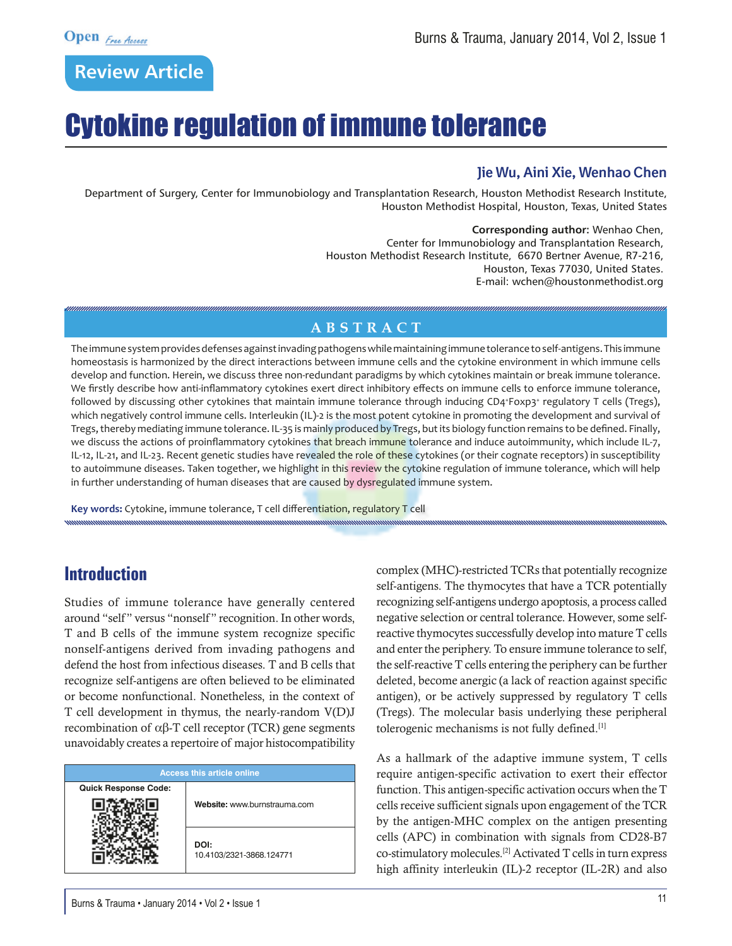# Cytokine regulation of immune tolerance

#### **Jie Wu, Aini Xie, Wenhao Chen**

Department of Surgery, Center for Immunobiology and Transplantation Research, Houston Methodist Research Institute, Houston Methodist Hospital, Houston, Texas, United States

> **Corresponding author:** Wenhao Chen, Center for Immunobiology and Transplantation Research, Houston Methodist Research Institute, 6670 Bertner Avenue, R7-216, Houston, Texas 77030, United States. E-mail: wchen@houstonmethodist.org

## **ABSTRACT**

The immune system provides defenses against invading pathogens while maintaining immune tolerance to self-antigens. This immune homeostasis is harmonized by the direct interactions between immune cells and the cytokine environment in which immune cells develop and function. Herein, we discuss three non-redundant paradigms by which cytokines maintain or break immune tolerance. We firstly describe how anti-inflammatory cytokines exert direct inhibitory effects on immune cells to enforce immune tolerance, followed by discussing other cytokines that maintain immune tolerance through inducing CD4\*Foxp3\* regulatory T cells (Tregs), which negatively control immune cells. Interleukin (IL)-2 is the most potent cytokine in promoting the development and survival of Tregs, thereby mediating immune tolerance. IL-35 is mainly produced by Tregs, but its biology function remains to be defined. Finally, we discuss the actions of proinflammatory cytokines that breach immune tolerance and induce autoimmunity, which include IL-7, IL-12, IL-21, and IL-23. Recent genetic studies have revealed the role of these cytokines (or their cognate receptors) in susceptibility to autoimmune diseases. Taken together, we highlight in this review the cytokine regulation of immune tolerance, which will help in further understanding of human diseases that are caused by dysregulated immune system.

Key words: Cytokine, immune tolerance, T cell differentiation, regulatory T cell

# **Introduction**

Studies of immune tolerance have generally centered around "self" versus "nonself" recognition. In other words, T and B cells of the immune system recognize specific nonself-antigens derived from invading pathogens and defend the host from infectious diseases. T and B cells that recognize self-antigens are often believed to be eliminated or become nonfunctional. Nonetheless, in the context of T cell development in thymus, the nearly-random V(D)J recombination of αβ-T cell receptor (TCR) gene segments unavoidably creates a repertoire of major histocompatibility

| <b>Access this article online</b> |                                  |
|-----------------------------------|----------------------------------|
| <b>Quick Response Code:</b>       | Website: www.burnstrauma.com     |
|                                   | DOI:<br>10.4103/2321-3868.124771 |

complex (MHC)-restricted TCRs that potentially recognize self-antigens. The thymocytes that have a TCR potentially recognizing self-antigens undergo apoptosis, a process called negative selection or central tolerance. However, some selfreactive thymocytes successfully develop into mature T cells and enter the periphery. To ensure immune tolerance to self, the self-reactive T cells entering the periphery can be further deleted, become anergic (a lack of reaction against specific antigen), or be actively suppressed by regulatory T cells (Tregs). The molecular basis underlying these peripheral tolerogenic mechanisms is not fully defined.[1]

As a hallmark of the adaptive immune system, T cells require antigen-specific activation to exert their effector function. This antigen-specific activation occurs when the T cells receive sufficient signals upon engagement of the TCR by the antigen-MHC complex on the antigen presenting cells (APC) in combination with signals from CD28-B7 co-stimulatory molecules.[2] Activated T cells in turn express high affinity interleukin (IL)-2 receptor (IL-2R) and also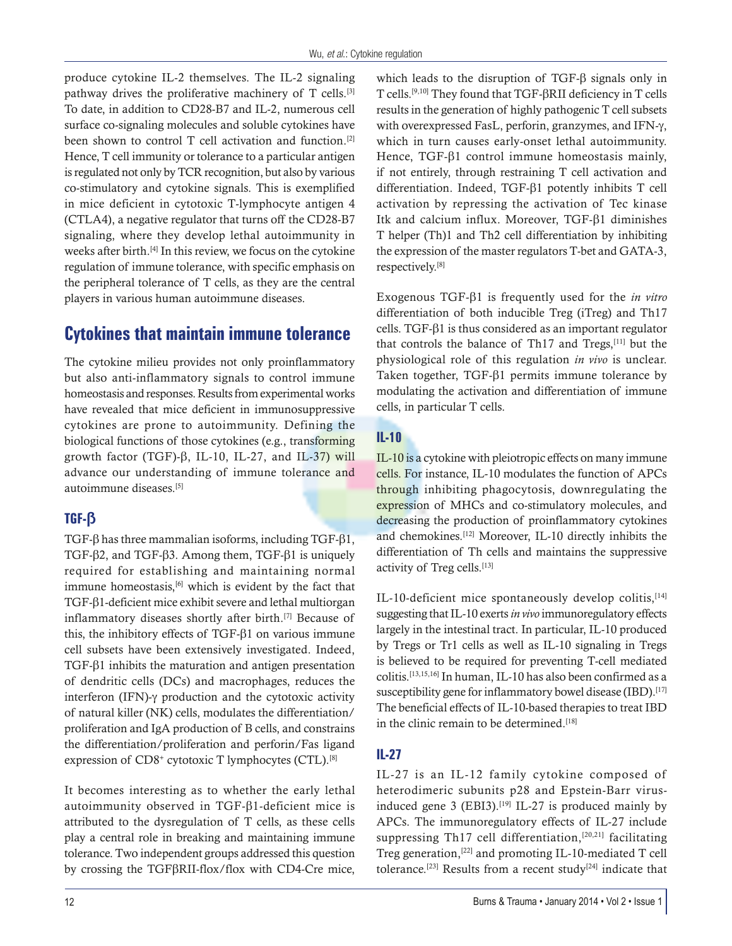produce cytokine IL-2 themselves. The IL-2 signaling pathway drives the proliferative machinery of T cells.[3] To date, in addition to CD28-B7 and IL-2, numerous cell surface co-signaling molecules and soluble cytokines have been shown to control T cell activation and function.[2] Hence, T cell immunity or tolerance to a particular antigen is regulated not only by TCR recognition, but also by various co-stimulatory and cytokine signals. This is exemplified in mice deficient in cytotoxic T-lymphocyte antigen 4 (CTLA4), a negative regulator that turns off the CD28-B7 signaling, where they develop lethal autoimmunity in weeks after birth.[4] In this review, we focus on the cytokine regulation of immune tolerance, with specific emphasis on the peripheral tolerance of T cells, as they are the central players in various human autoimmune diseases.

# **Cytokines that maintain immune tolerance**

The cytokine milieu provides not only proinflammatory but also anti-inflammatory signals to control immune homeostasis and responses. Results from experimental works have revealed that mice deficient in immunosuppressive cytokines are prone to autoimmunity. Defining the biological functions of those cytokines (e.g., transforming growth factor (TGF)- $\beta$ , IL-10, IL-27, and IL-37) will advance our understanding of immune tolerance and autoimmune diseases.[5]

## **TGF-ß**

TGF- $\beta$  has three mammalian isoforms, including TGF- $\beta$ 1, TGF- $\beta$ 2, and TGF- $\beta$ 3. Among them, TGF- $\beta$ 1 is uniquely required for establishing and maintaining normal immune homeostasis, $[6]$  which is evident by the fact that TGF-b1-deficient mice exhibit severe and lethal multiorgan inflammatory diseases shortly after birth.[7] Because of this, the inhibitory effects of TGF- $\beta$ 1 on various immune cell subsets have been extensively investigated. Indeed, TGF- $\beta$ 1 inhibits the maturation and antigen presentation of dendritic cells (DCs) and macrophages, reduces the interferon (IFN)-g production and the cytotoxic activity of natural killer (NK) cells, modulates the differentiation/ proliferation and IgA production of B cells, and constrains the differentiation/proliferation and perforin/Fas ligand expression of  $CD8<sup>+</sup>$  cytotoxic T lymphocytes (CTL).<sup>[8]</sup>

It becomes interesting as to whether the early lethal autoimmunity observed in TGF- $\beta$ 1-deficient mice is attributed to the dysregulation of T cells, as these cells play a central role in breaking and maintaining immune tolerance. Two independent groups addressed this question by crossing the  $TGF\beta RII$ -flox/flox with CD4-Cre mice, which leads to the disruption of TGF- $\beta$  signals only in T cells.[9,10] They found that TGF-bRII deficiency in T cells results in the generation of highly pathogenic T cell subsets with overexpressed FasL, perforin, granzymes, and IFN- $\gamma$ , which in turn causes early-onset lethal autoimmunity. Hence, TGF- $\beta$ 1 control immune homeostasis mainly, if not entirely, through restraining T cell activation and differentiation. Indeed, TGF-b1 potently inhibits T cell activation by repressing the activation of Tec kinase Itk and calcium influx. Moreover, TGF-β1 diminishes T helper (Th)1 and Th2 cell differentiation by inhibiting the expression of the master regulators T-bet and GATA-3, respectively.[8]

Exogenous TGF-b1 is frequently used for the *in vitro* differentiation of both inducible Treg (iTreg) and Th17 cells. TGF- $\beta$ 1 is thus considered as an important regulator that controls the balance of Th17 and Tregs,<sup>[11]</sup> but the physiological role of this regulation *in vivo* is unclear. Taken together,  $TGF- $\beta$ 1 permits immune tolerance by$ modulating the activation and differentiation of immune cells, in particular T cells.

## **IL-10**

IL-10 is a cytokine with pleiotropic effects on many immune cells. For instance, IL-10 modulates the function of APCs through inhibiting phagocytosis, downregulating the expression of MHCs and co-stimulatory molecules, and decreasing the production of proinflammatory cytokines and chemokines.[12] Moreover, IL-10 directly inhibits the differentiation of Th cells and maintains the suppressive activity of Treg cells.[13]

IL-10-deficient mice spontaneously develop colitis, [14] suggesting that IL-10 exerts *in vivo* immunoregulatory effects largely in the intestinal tract. In particular, IL-10 produced by Tregs or Tr1 cells as well as IL-10 signaling in Tregs is believed to be required for preventing T-cell mediated colitis.[13,15,16] In human, IL-10 has also been confirmed as a susceptibility gene for inflammatory bowel disease (IBD).<sup>[17]</sup> The beneficial effects of IL-10-based therapies to treat IBD in the clinic remain to be determined.<sup>[18]</sup>

## **IL-27**

IL-27 is an IL-12 family cytokine composed of heterodimeric subunits p28 and Epstein-Barr virusinduced gene 3 (EBI3).<sup>[19]</sup> IL-27 is produced mainly by APCs. The immunoregulatory effects of IL-27 include suppressing Th17 cell differentiation,<sup>[20,21]</sup> facilitating Treg generation,[22] and promoting IL-10-mediated T cell tolerance.<sup>[23]</sup> Results from a recent study<sup>[24]</sup> indicate that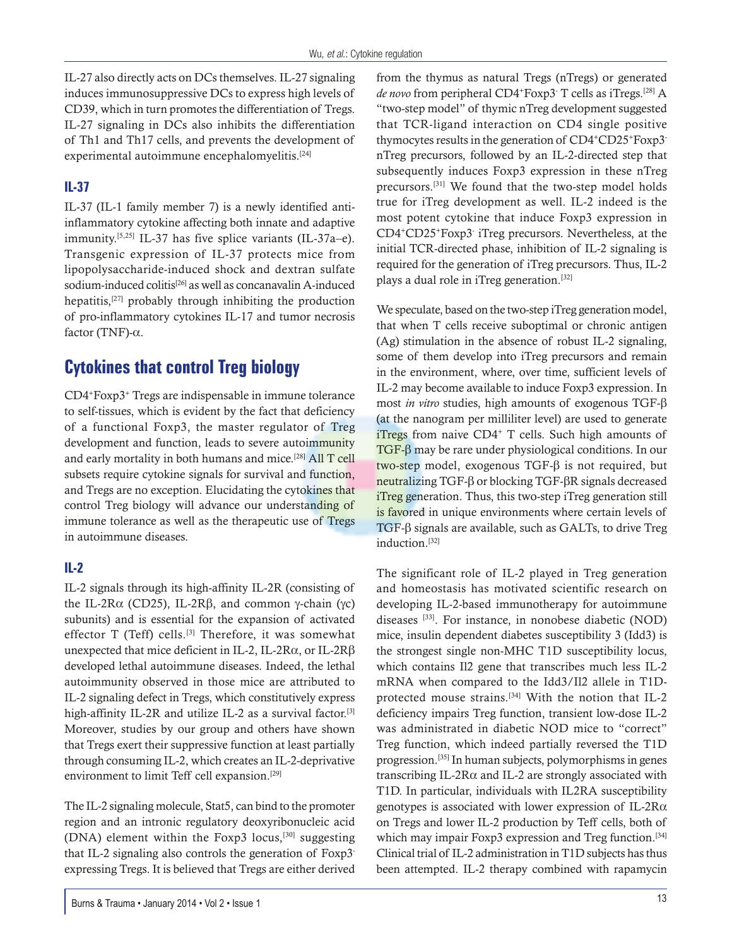IL-27 also directly acts on DCs themselves. IL-27 signaling induces immunosuppressive DCs to express high levels of CD39, which in turn promotes the differentiation of Tregs. IL-27 signaling in DCs also inhibits the differentiation of Th1 and Th17 cells, and prevents the development of experimental autoimmune encephalomyelitis.[24]

#### **IL-37**

IL-37 (IL-1 family member 7) is a newly identified antiinflammatory cytokine affecting both innate and adaptive immunity.[5,25] IL-37 has five splice variants (IL-37a–e). Transgenic expression of IL-37 protects mice from lipopolysaccharide-induced shock and dextran sulfate sodium-induced colitis<sup>[26]</sup> as well as concanavalin A-induced hepatitis,[27] probably through inhibiting the production of pro-inflammatory cytokines IL-17 and tumor necrosis factor (TNF)-α.

# **Cytokines that control Treg biology**

CD4+Foxp3+ Tregs are indispensable in immune tolerance to self-tissues, which is evident by the fact that deficiency of a functional Foxp3, the master regulator of Treg development and function, leads to severe autoimmunity and early mortality in both humans and mice.[28] All T cell subsets require cytokine signals for survival and function, and Tregs are no exception. Elucidating the cytokines that control Treg biology will advance our understanding of immune tolerance as well as the therapeutic use of Tregs in autoimmune diseases.

#### **IL-2**

IL-2 signals through its high-affinity IL-2R (consisting of the IL-2Rα (CD25), IL-2Rβ, and common γ-chain (γc) subunits) and is essential for the expansion of activated effector T (Teff) cells.<sup>[3]</sup> Therefore, it was somewhat unexpected that mice deficient in IL-2, IL-2Rα, or IL-2Rβ developed lethal autoimmune diseases. Indeed, the lethal autoimmunity observed in those mice are attributed to IL-2 signaling defect in Tregs, which constitutively express high-affinity IL-2R and utilize IL-2 as a survival factor.<sup>[3]</sup> Moreover, studies by our group and others have shown that Tregs exert their suppressive function at least partially through consuming IL-2, which creates an IL-2-deprivative environment to limit Teff cell expansion.[29]

The IL-2 signaling molecule, Stat5, can bind to the promoter region and an intronic regulatory deoxyribonucleic acid (DNA) element within the Foxp3 locus,[30] suggesting that IL-2 signaling also controls the generation of Foxp3 expressing Tregs. It is believed that Tregs are either derived from the thymus as natural Tregs (nTregs) or generated de novo from peripheral CD4<sup>+</sup>Foxp3<sup>-</sup> T cells as iTregs.<sup>[28]</sup> A "two-step model" of thymic nTreg development suggested that TCR-ligand interaction on CD4 single positive thymocytes results in the generation of CD4+CD25+Foxp3 nTreg precursors, followed by an IL-2-directed step that subsequently induces Foxp3 expression in these nTreg precursors.[31] We found that the two-step model holds true for iTreg development as well. IL-2 indeed is the most potent cytokine that induce Foxp3 expression in CD4+CD25+Foxp3- iTreg precursors. Nevertheless, at the initial TCR-directed phase, inhibition of IL-2 signaling is required for the generation of iTreg precursors. Thus, IL-2 plays a dual role in iTreg generation.<sup>[32]</sup>

We speculate, based on the two-step iTreg generation model, that when T cells receive suboptimal or chronic antigen (Ag) stimulation in the absence of robust IL-2 signaling, some of them develop into iTreg precursors and remain in the environment, where, over time, sufficient levels of IL-2 may become available to induce Foxp3 expression. In most *in vitro* studies, high amounts of exogenous TGF-β (at the nanogram per milliliter level) are used to generate iTregs from naive  $CD4$ <sup>+</sup> T cells. Such high amounts of TGF-β may be rare under physiological conditions. In our two-step model, exogenous TGF-β is not required, but neutralizing TGF-β or blocking TGF-βR signals decreased iTreg generation. Thus, this two-step iTreg generation still is favored in unique environments where certain levels of TGF-β signals are available, such as GALTs, to drive Treg induction.[32]

The significant role of IL-2 played in Treg generation and homeostasis has motivated scientific research on developing IL-2-based immunotherapy for autoimmune diseases [33]. For instance, in nonobese diabetic (NOD) mice, insulin dependent diabetes susceptibility 3 (Idd3) is the strongest single non-MHC T1D susceptibility locus, which contains Il2 gene that transcribes much less IL-2 mRNA when compared to the Idd3/Il2 allele in T1Dprotected mouse strains.<sup>[34]</sup> With the notion that IL-2 deficiency impairs Treg function, transient low-dose IL-2 was administrated in diabetic NOD mice to "correct" Treg function, which indeed partially reversed the T1D progression.[35] In human subjects, polymorphisms in genes transcribing IL-2R $\alpha$  and IL-2 are strongly associated with T1D. In particular, individuals with IL2RA susceptibility genotypes is associated with lower expression of IL-2Rα on Tregs and lower IL-2 production by Teff cells, both of which may impair Foxp3 expression and Treg function.<sup>[34]</sup> Clinical trial of IL-2 administration in T1D subjects has thus been attempted. IL-2 therapy combined with rapamycin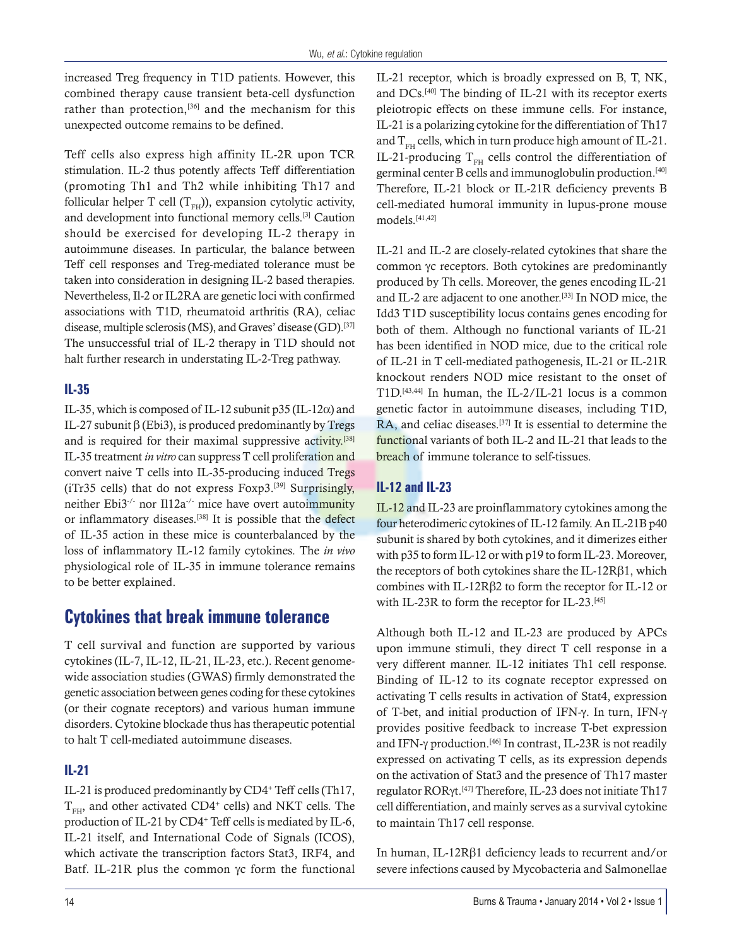increased Treg frequency in T1D patients. However, this combined therapy cause transient beta-cell dysfunction rather than protection,<sup>[36]</sup> and the mechanism for this unexpected outcome remains to be defined.

Teff cells also express high affinity IL-2R upon TCR stimulation. IL-2 thus potently affects Teff differentiation (promoting Th1 and Th2 while inhibiting Th17 and follicular helper T cell  $(T_{FH})$ ), expansion cytolytic activity, and development into functional memory cells.[3] Caution should be exercised for developing IL-2 therapy in autoimmune diseases. In particular, the balance between Teff cell responses and Treg-mediated tolerance must be taken into consideration in designing IL-2 based therapies. Nevertheless, Il-2 or IL2RA are genetic loci with confirmed associations with T1D, rheumatoid arthritis (RA), celiac disease, multiple sclerosis (MS), and Graves' disease (GD).<sup>[37]</sup> The unsuccessful trial of IL-2 therapy in T1D should not halt further research in understating IL-2-Treg pathway.

#### **IL-35**

IL-35, which is composed of IL-12 subunit  $p35$  (IL-12 $\alpha$ ) and IL-27 subunit β (Ebi3), is produced predominantly by Tregs and is required for their maximal suppressive activity.<sup>[38]</sup> IL-35 treatment *in vitro* can suppress T cell proliferation and convert naive T cells into IL-35-producing induced Tregs (iTr35 cells) that do not express Foxp3.[39] Surprisingly, neither Ebi3-/- nor Il12a-/- mice have overt autoimmunity or inflammatory diseases.[38] It is possible that the defect of IL-35 action in these mice is counterbalanced by the loss of inflammatory IL-12 family cytokines. The *in vivo* physiological role of IL-35 in immune tolerance remains to be better explained.

# **Cytokines that break immune tolerance**

T cell survival and function are supported by various cytokines (IL-7, IL-12, IL-21, IL-23, etc.). Recent genomewide association studies (GWAS) firmly demonstrated the genetic association between genes coding for these cytokines (or their cognate receptors) and various human immune disorders. Cytokine blockade thus has therapeutic potential to halt T cell-mediated autoimmune diseases.

# **IL-21**

IL-21 is produced predominantly by CD4+ Teff cells (Th17,  $T_{\text{FH}}$ , and other activated CD4<sup>+</sup> cells) and NKT cells. The production of IL-21 by CD4<sup>+</sup> Teff cells is mediated by IL-6, IL-21 itself, and International Code of Signals (ICOS), which activate the transcription factors Stat3, IRF4, and Batf. IL-21R plus the common γc form the functional IL-21 receptor, which is broadly expressed on B, T, NK, and DCs.[40] The binding of IL-21 with its receptor exerts pleiotropic effects on these immune cells. For instance, IL-21 is a polarizing cytokine for the differentiation of Th17 and  $T_{\text{FH}}$  cells, which in turn produce high amount of IL-21. IL-21-producing  $T_{FH}$  cells control the differentiation of germinal center B cells and immunoglobulin production.[40] Therefore, IL-21 block or IL-21R deficiency prevents B cell-mediated humoral immunity in lupus-prone mouse models.[41,42]

IL-21 and IL-2 are closely-related cytokines that share the common γc receptors. Both cytokines are predominantly produced by Th cells. Moreover, the genes encoding IL-21 and IL-2 are adjacent to one another.[33] In NOD mice, the Idd3 T1D susceptibility locus contains genes encoding for both of them. Although no functional variants of IL-21 has been identified in NOD mice, due to the critical role of IL-21 in T cell-mediated pathogenesis, IL-21 or IL-21R knockout renders NOD mice resistant to the onset of T1D.[43,44] In human, the IL-2/IL-21 locus is a common genetic factor in autoimmune diseases, including T1D, RA, and celiac diseases.<sup>[37]</sup> It is essential to determine the functional variants of both IL-2 and IL-21 that leads to the breach of immune tolerance to self-tissues.

#### **IL-12 and IL-23**

IL-12 and IL-23 are proinflammatory cytokines among the four heterodimeric cytokines of IL-12 family. An IL-21B p40 subunit is shared by both cytokines, and it dimerizes either with p35 to form IL-12 or with p19 to form IL-23. Moreover, the receptors of both cytokines share the IL-12Rβ1, which combines with IL-12Rβ2 to form the receptor for IL-12 or with IL-23R to form the receptor for IL-23.[45]

Although both IL-12 and IL-23 are produced by APCs upon immune stimuli, they direct T cell response in a very different manner. IL-12 initiates Th1 cell response. Binding of IL-12 to its cognate receptor expressed on activating T cells results in activation of Stat4, expression of T-bet, and initial production of IFN-γ. In turn, IFN-γ provides positive feedback to increase T-bet expression and IFN-γ production.[46] In contrast, IL-23R is not readily expressed on activating T cells, as its expression depends on the activation of Stat3 and the presence of Th17 master regulator RORγt.[47] Therefore, IL-23 does not initiate Th17 cell differentiation, and mainly serves as a survival cytokine to maintain Th17 cell response.

In human, IL-12Rβ1 deficiency leads to recurrent and/or severe infections caused by Mycobacteria and Salmonellae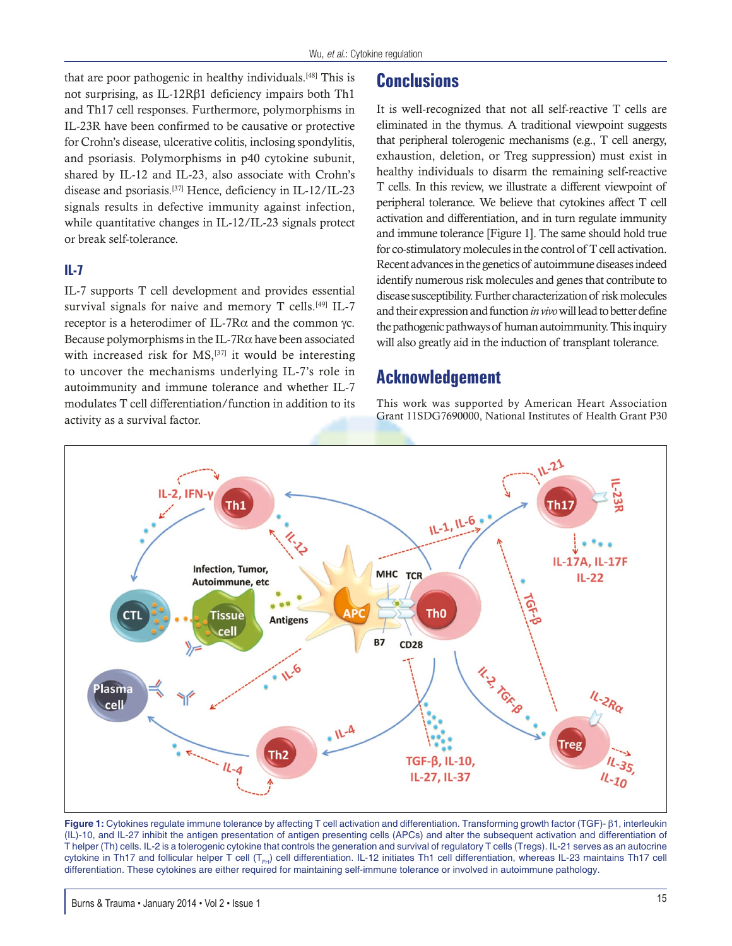that are poor pathogenic in healthy individuals.<sup>[48]</sup> This is not surprising, as IL-12Rβ1 deficiency impairs both Th1 and Th17 cell responses. Furthermore, polymorphisms in IL-23R have been confirmed to be causative or protective for Crohn's disease, ulcerative colitis, inclosing spondylitis, and psoriasis. Polymorphisms in p40 cytokine subunit, shared by IL-12 and IL-23, also associate with Crohn's disease and psoriasis.[37] Hence, deficiency in IL-12/IL-23 signals results in defective immunity against infection, while quantitative changes in IL-12/IL-23 signals protect or break self-tolerance.

#### **IL-7**

IL-7 supports T cell development and provides essential survival signals for naive and memory  $T$  cells.<sup>[49]</sup> IL-7 receptor is a heterodimer of IL-7Rα and the common γc. Because polymorphisms in the IL-7R $\alpha$  have been associated with increased risk for  $MS$ ,<sup>[37]</sup> it would be interesting to uncover the mechanisms underlying IL-7's role in autoimmunity and immune tolerance and whether IL-7 modulates T cell differentiation/function in addition to its activity as a survival factor.

# **Conclusions**

It is well-recognized that not all self-reactive T cells are eliminated in the thymus. A traditional viewpoint suggests that peripheral tolerogenic mechanisms (e.g., T cell anergy, exhaustion, deletion, or Treg suppression) must exist in healthy individuals to disarm the remaining self-reactive T cells. In this review, we illustrate a different viewpoint of peripheral tolerance. We believe that cytokines affect T cell activation and differentiation, and in turn regulate immunity and immune tolerance [Figure 1]. The same should hold true for co-stimulatory molecules in the control of T cell activation. Recent advances in the genetics of autoimmune diseases indeed identify numerous risk molecules and genes that contribute to disease susceptibility. Further characterization of risk molecules and their expression and function *in vivo* will lead to better define the pathogenic pathways of human autoimmunity. This inquiry will also greatly aid in the induction of transplant tolerance.

## **Acknowledgement**

This work was supported by American Heart Association Grant 11SDG7690000, National Institutes of Health Grant P30



**Figure 1:** Cytokines regulate immune tolerance by affecting T cell activation and differentiation. Transforming growth factor (TGF)- β1, interleukin (IL)-10, and IL-27 inhibit the antigen presentation of antigen presenting cells (APCs) and alter the subsequent activation and differentiation of T helper (Th) cells. IL-2 is a tolerogenic cytokine that controls the generation and survival of regulatory T cells (Tregs). IL-21 serves as an autocrine cytokine in Th17 and follicular helper T cell (T<sub>FH</sub>) cell differentiation. IL-12 initiates Th1 cell differentiation, whereas IL-23 maintains Th17 cell differentiation. These cytokines are either required for maintaining self-immune tolerance or involved in autoimmune pathology.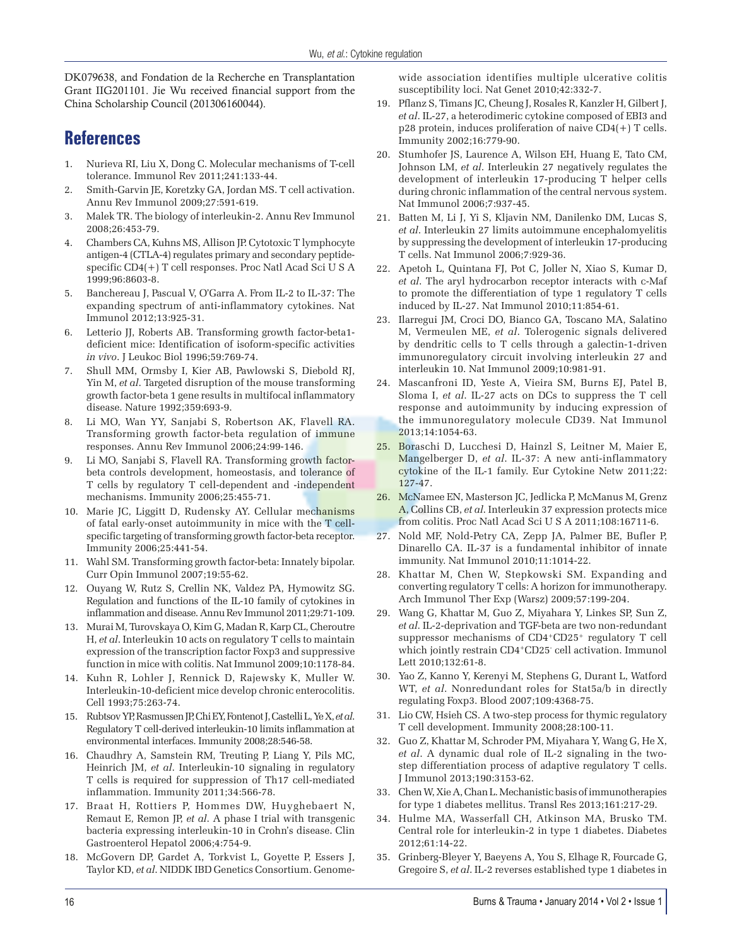DK079638, and Fondation de la Recherche en Transplantation Grant IIG201101. Jie Wu received financial support from the China Scholarship Council (201306160044).

# **References**

- 1. Nurieva RI, Liu X, Dong C. Molecular mechanisms of T-cell tolerance. Immunol Rev 2011;241:133-44.
- 2. Smith-Garvin JE, Koretzky GA, Jordan MS. T cell activation. Annu Rev Immunol 2009;27:591-619.
- 3. Malek TR. The biology of interleukin-2. Annu Rev Immunol 2008;26:453-79.
- 4. Chambers CA, Kuhns MS, Allison JP. Cytotoxic T lymphocyte antigen-4 (CTLA-4) regulates primary and secondary peptidespecific CD4(+) T cell responses. Proc Natl Acad Sci U S A 1999;96:8603-8.
- 5. Banchereau J, Pascual V, O'Garra A. From IL-2 to IL-37: The expanding spectrum of anti-inflammatory cytokines. Nat Immunol 2012;13:925-31.
- 6. Letterio JJ, Roberts AB. Transforming growth factor-beta1 deficient mice: Identification of isoform-specific activities *in vivo*. J Leukoc Biol 1996;59:769-74.
- 7. Shull MM, Ormsby I, Kier AB, Pawlowski S, Diebold RJ, Yin M, *et al*. Targeted disruption of the mouse transforming growth factor-beta 1 gene results in multifocal inflammatory disease. Nature 1992;359:693-9.
- Li MO, Wan YY, Sanjabi S, Robertson AK, Flavell RA. Transforming growth factor-beta regulation of immune responses. Annu Rev Immunol 2006;24:99-146.
- 9. Li MO, Sanjabi S, Flavell RA. Transforming growth factorbeta controls development, homeostasis, and tolerance of T cells by regulatory T cell-dependent and -independent mechanisms. Immunity 2006;25:455-71.
- 10. Marie JC, Liggitt D, Rudensky AY. Cellular mechanisms of fatal early-onset autoimmunity in mice with the T cellspecific targeting of transforming growth factor-beta receptor. Immunity 2006;25:441-54.
- 11. Wahl SM. Transforming growth factor-beta: Innately bipolar. Curr Opin Immunol 2007;19:55-62.
- 12. Ouyang W, Rutz S, Crellin NK, Valdez PA, Hymowitz SG. Regulation and functions of the IL-10 family of cytokines in inflammation and disease. Annu Rev Immunol 2011;29:71-109.
- 13. Murai M, Turovskaya O, Kim G, Madan R, Karp CL, Cheroutre H, *et al*. Interleukin 10 acts on regulatory T cells to maintain expression of the transcription factor Foxp3 and suppressive function in mice with colitis. Nat Immunol 2009;10:1178-84.
- 14. Kuhn R, Lohler J, Rennick D, Rajewsky K, Muller W. Interleukin-10-deficient mice develop chronic enterocolitis. Cell 1993;75:263-74.
- 15. Rubtsov YP, Rasmussen JP, Chi EY, Fontenot J, Castelli L, Ye X, *et al*. Regulatory T cell-derived interleukin-10 limits inflammation at environmental interfaces. Immunity 2008;28:546-58.
- 16. Chaudhry A, Samstein RM, Treuting P, Liang Y, Pils MC, Heinrich JM, *et al*. Interleukin-10 signaling in regulatory T cells is required for suppression of Th17 cell-mediated inflammation. Immunity 2011;34:566-78.
- 17. Braat H, Rottiers P, Hommes DW, Huyghebaert N, Remaut E, Remon JP, *et al*. A phase I trial with transgenic bacteria expressing interleukin-10 in Crohn's disease. Clin Gastroenterol Hepatol 2006;4:754-9.
- 18. McGovern DP, Gardet A, Torkvist L, Goyette P, Essers J, Taylor KD, *et al*. NIDDK IBD Genetics Consortium. Genome-

wide association identifies multiple ulcerative colitis susceptibility loci. Nat Genet 2010;42:332-7.

- 19. Pflanz S, Timans JC, Cheung J, Rosales R, Kanzler H, Gilbert J, *et al*. IL-27, a heterodimeric cytokine composed of EBI3 and p28 protein, induces proliferation of naive CD4(+) T cells. Immunity 2002;16:779-90.
- Stumhofer JS, Laurence A, Wilson EH, Huang E, Tato CM, Johnson LM, *et al*. Interleukin 27 negatively regulates the development of interleukin 17-producing T helper cells during chronic inflammation of the central nervous system. Nat Immunol 2006;7:937-45.
- 21. Batten M, Li J, Yi S, Kljavin NM, Danilenko DM, Lucas S, *et al*. Interleukin 27 limits autoimmune encephalomyelitis by suppressing the development of interleukin 17-producing T cells. Nat Immunol 2006;7:929-36.
- 22. Apetoh L, Quintana FJ, Pot C, Joller N, Xiao S, Kumar D, *et al*. The aryl hydrocarbon receptor interacts with c-Maf to promote the differentiation of type 1 regulatory T cells induced by IL-27. Nat Immunol 2010;11:854-61.
- 23. Ilarregui JM, Croci DO, Bianco GA, Toscano MA, Salatino M, Vermeulen ME, *et al*. Tolerogenic signals delivered by dendritic cells to T cells through a galectin-1-driven immunoregulatory circuit involving interleukin 27 and interleukin 10. Nat Immunol 2009;10:981-91.
- 24. Mascanfroni ID, Yeste A, Vieira SM, Burns EJ, Patel B, Sloma I, *et al*. IL-27 acts on DCs to suppress the T cell response and autoimmunity by inducing expression of the immunoregulatory molecule CD39. Nat Immunol 2013;14:1054-63.
- 25. Boraschi D, Lucchesi D, Hainzl S, Leitner M, Maier E, Mangelberger D, *et al*. IL-37: A new anti-inflammatory cytokine of the IL-1 family. Eur Cytokine Netw 2011;22: 127-47.
- 26. McNamee EN, Masterson JC, Jedlicka P, McManus M, Grenz A, Collins CB, *et al*. Interleukin 37 expression protects mice from colitis. Proc Natl Acad Sci U S A 2011;108:16711-6.
- 27. Nold MF, Nold-Petry CA, Zepp JA, Palmer BE, Bufler P, Dinarello CA. IL-37 is a fundamental inhibitor of innate immunity. Nat Immunol 2010;11:1014-22.
- 28. Khattar M, Chen W, Stepkowski SM. Expanding and converting regulatory T cells: A horizon for immunotherapy. Arch Immunol Ther Exp (Warsz) 2009;57:199-204.
- 29. Wang G, Khattar M, Guo Z, Miyahara Y, Linkes SP, Sun Z, *et al*. IL-2-deprivation and TGF-beta are two non-redundant suppressor mechanisms of CD4+CD25+ regulatory T cell which jointly restrain CD4+CD25- cell activation. Immunol Lett 2010;132:61-8.
- 30. Yao Z, Kanno Y, Kerenyi M, Stephens G, Durant L, Watford WT, *et al*. Nonredundant roles for Stat5a/b in directly regulating Foxp3. Blood 2007;109:4368-75.
- 31. Lio CW, Hsieh CS. A two-step process for thymic regulatory T cell development. Immunity 2008;28:100-11.
- 32. Guo Z, Khattar M, Schroder PM, Miyahara Y, Wang G, He X, *et al*. A dynamic dual role of IL-2 signaling in the twostep differentiation process of adaptive regulatory T cells. J Immunol 2013;190:3153-62.
- 33. Chen W, Xie A, Chan L. Mechanistic basis of immunotherapies for type 1 diabetes mellitus. Transl Res 2013;161:217-29.
- 34. Hulme MA, Wasserfall CH, Atkinson MA, Brusko TM. Central role for interleukin-2 in type 1 diabetes. Diabetes 2012;61:14-22.
- 35. Grinberg-Bleyer Y, Baeyens A, You S, Elhage R, Fourcade G, Gregoire S, *et al*. IL-2 reverses established type 1 diabetes in